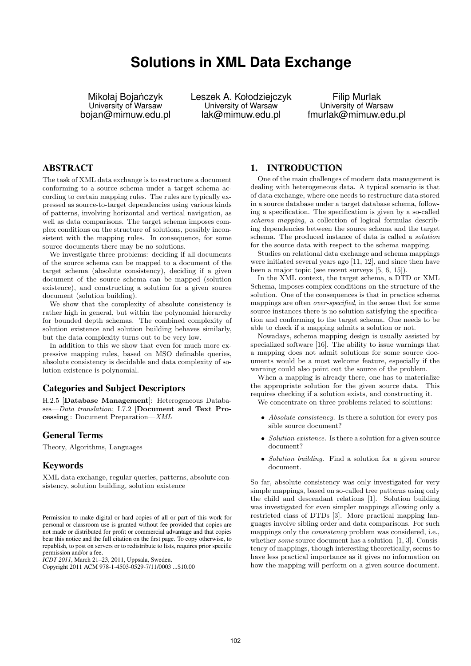# **Solutions in XML Data Exchange**

Mikołaj Bojańczyk University of Warsaw bojan@mimuw.edu.pl Leszek A. Kołodziejczyk University of Warsaw lak@mimuw.edu.pl

Filip Murlak University of Warsaw fmurlak@mimuw.edu.pl

## ABSTRACT

The task of XML data exchange is to restructure a document conforming to a source schema under a target schema according to certain mapping rules. The rules are typically expressed as source-to-target dependencies using various kinds of patterns, involving horizontal and vertical navigation, as well as data comparisons. The target schema imposes complex conditions on the structure of solutions, possibly inconsistent with the mapping rules. In consequence, for some source documents there may be no solutions.

We investigate three problems: deciding if all documents of the source schema can be mapped to a document of the target schema (absolute consistency), deciding if a given document of the source schema can be mapped (solution existence), and constructing a solution for a given source document (solution building).

We show that the complexity of absolute consistency is rather high in general, but within the polynomial hierarchy for bounded depth schemas. The combined complexity of solution existence and solution building behaves similarly, but the data complexity turns out to be very low.

In addition to this we show that even for much more expressive mapping rules, based on MSO definable queries, absolute consistency is decidable and data complexity of solution existence is polynomial.

## Categories and Subject Descriptors

H.2.5 [Database Management]: Heterogeneous Databases—Data translation; I.7.2 [Document and Text Processing]: Document Preparation—XML

## General Terms

Theory, Algorithms, Languages

### Keywords

XML data exchange, regular queries, patterns, absolute consistency, solution building, solution existence

*ICDT 2011*, March 21–23, 2011, Uppsala, Sweden.

## 1. INTRODUCTION

One of the main challenges of modern data management is dealing with heterogeneous data. A typical scenario is that of data exchange, where one needs to restructure data stored in a source database under a target database schema, following a specification. The specification is given by a so-called schema mapping, a collection of logical formulas describing dependencies between the source schema and the target schema. The produced instance of data is called a solution for the source data with respect to the schema mapping.

Studies on relational data exchange and schema mappings were initiated several years ago [11, 12], and since then have been a major topic (see recent surveys [5, 6, 15]).

In the XML context, the target schema, a DTD or XML Schema, imposes complex conditions on the structure of the solution. One of the consequences is that in practice schema mappings are often over-specified, in the sense that for some source instances there is no solution satisfying the specification and conforming to the target schema. One needs to be able to check if a mapping admits a solution or not.

Nowadays, schema mapping design is usually assisted by specialized software [16]. The ability to issue warnings that a mapping does not admit solutions for some source documents would be a most welcome feature, especially if the warning could also point out the source of the problem.

When a mapping is already there, one has to materialize the appropriate solution for the given source data. This requires checking if a solution exists, and constructing it.

We concentrate on three problems related to solutions:

- Absolute consistency. Is there a solution for every possible source document?
- Solution existence. Is there a solution for a given source document?
- Solution building. Find a solution for a given source document.

So far, absolute consistency was only investigated for very simple mappings, based on so-called tree patterns using only the child and descendant relations [1]. Solution building was investigated for even simpler mappings allowing only a restricted class of DTDs [3]. More practical mapping languages involve sibling order and data comparisons. For such mappings only the consistency problem was considered, i.e., whether *some* source document has a solution [1, 3]. Consistency of mappings, though interesting theoretically, seems to have less practical importance as it gives no information on how the mapping will perform on a given source document.

Permission to make digital or hard copies of all or part of this work for personal or classroom use is granted without fee provided that copies are not made or distributed for profit or commercial advantage and that copies bear this notice and the full citation on the first page. To copy otherwise, to republish, to post on servers or to redistribute to lists, requires prior specific permission and/or a fee.

Copyright 2011 ACM 978-1-4503-0529-7/11/0003 ...\$10.00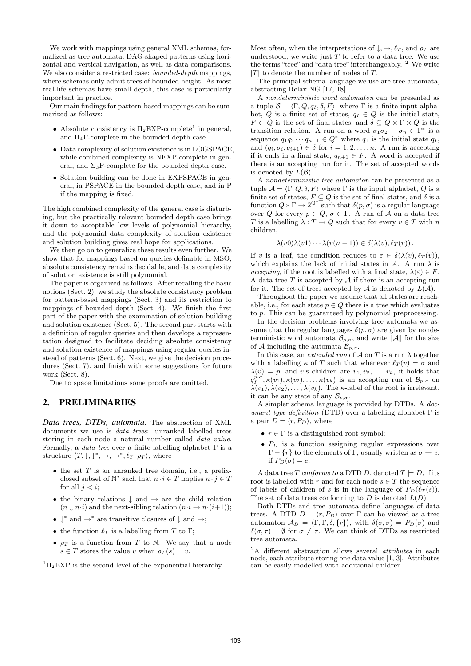We work with mappings using general XML schemas, formalized as tree automata, DAG-shaped patterns using horizontal and vertical navigation, as well as data comparisons. We also consider a restricted case: *bounded-depth* mappings, where schemas only admit trees of bounded height. As most real-life schemas have small depth, this case is particularly important in practice.

Our main findings for pattern-based mappings can be summarized as follows:

- Absolute consistency is  $\Pi_2$ EXP-complete<sup>1</sup> in general, and  $\Pi_4$ P-complete in the bounded depth case.
- Data complexity of solution existence is in LOGSPACE, while combined complexity is NEXP-complete in general, and  $\Sigma_3P$ -complete for the bounded depth case.
- Solution building can be done in EXPSPACE in general, in PSPACE in the bounded depth case, and in P if the mapping is fixed.

The high combined complexity of the general case is disturbing, but the practically relevant bounded-depth case brings it down to acceptable low levels of polynomial hierarchy, and the polynomial data complexity of solution existence and solution building gives real hope for applications.

We then go on to generalize these results even further. We show that for mappings based on queries definable in MSO, absolute consistency remains decidable, and data complexity of solution existence is still polynomial.

The paper is organized as follows. After recalling the basic notions (Sect. 2), we study the absolute consistency problem for pattern-based mappings (Sect. 3) and its restriction to mappings of bounded depth (Sect. 4). We finish the first part of the paper with the examination of solution building and solution existence (Sect. 5). The second part starts with a definition of regular queries and then develops a representation designed to facilitate deciding absolute consistency and solution existence of mappings using regular queries instead of patterns (Sect. 6). Next, we give the decision procedures (Sect. 7), and finish with some suggestions for future work (Sect. 8).

Due to space limitations some proofs are omitted.

# 2. PRELIMINARIES

*Data trees, DTDs, automata.* The abstraction of XML documents we use is data trees: unranked labelled trees storing in each node a natural number called data value. Formally, a *data tree* over a finite labelling alphabet  $\Gamma$  is a structure  $\langle T, \downarrow, \downarrow^*, \rightarrow, \rightarrow^*, \ell_T, \rho_T \rangle$ , where

- $\bullet$  the set  $T$  is an unranked tree domain, i.e., a prefixclosed subset of  $\mathbb{N}^*$  such that  $n \cdot i \in T$  implies  $n \cdot j \in T$ for all  $j < i$ ;
- the binary relations  $\vdash$  and  $\rightarrow$  are the child relation  $(n \downarrow n \cdot i)$  and the next-sibling relation  $(n \cdot i \rightarrow n \cdot (i+1));$
- $\downarrow^*$  and  $\rightarrow^*$  are transitive closures of  $\downarrow$  and  $\rightarrow;$
- the function  $\ell_T$  is a labelling from T to Γ;
- $\rho_T$  is a function from T to N. We say that a node  $s \in T$  stores the value v when  $\rho_T(s) = v$ .

Most often, when the interpretations of  $\downarrow, \rightarrow, \ell_T$ , and  $\rho_T$  are understood, we write just  $T$  to refer to a data tree. We use the terms "tree" and "data tree" interchangeably. <sup>2</sup> We write  $|T|$  to denote the number of nodes of T.

The principal schema language we use are tree automata, abstracting Relax NG [17, 18].

A nondeterministic word automaton can be presented as a tuple  $\mathcal{B} = \langle \Gamma, Q, q_I, \delta, F \rangle$ , where  $\Gamma$  is a finite input alphabet, Q is a finite set of states,  $q_I \in Q$  is the initial state,  $F \subset Q$  is the set of final states, and  $\delta \subseteq Q \times \Gamma \times Q$  is the transition relation. A run on a word  $\sigma_1 \sigma_2 \cdots \sigma_n \in \Gamma^*$  is a sequence  $q_1q_2 \cdots q_{n+1} \in Q^*$  where  $q_1$  is the initial state  $q_1$ , and  $(q_i, \sigma_i, q_{i+1}) \in \delta$  for  $i = 1, 2, ..., n$ . A run is accepting if it ends in a final state,  $q_{n+1} \in F$ . A word is accepted if there is an accepting run for it. The set of accepted words is denoted by  $L(\mathcal{B})$ .

A nondeterministic tree automaton can be presented as a tuple  $\mathcal{A} = \langle \Gamma, \Omega, \delta, F \rangle$  where  $\Gamma$  is the input alphabet,  $\Omega$  is a finite set of states,  $F \subseteq Q$  is the set of final states, and  $\delta$  is a function  $Q \times \Gamma \longrightarrow 2^{Q^*}$  such that  $\delta(p, \sigma)$  is a regular language over Q for every  $p \in Q$ ,  $\sigma \in \Gamma$ . A run of A on a data tree T is a labelling  $\lambda : T \to Q$  such that for every  $v \in T$  with n children,

$$
\lambda(v0)\lambda(v1)\cdots\lambda(v(n-1))\in\delta(\lambda(v),\ell_T(v)).
$$

If v is a leaf, the condition reduces to  $\varepsilon \in \delta(\lambda(v), \ell_T(v)),$ which explains the lack of initial states in  $A$ . A run  $\lambda$  is accepting, if the root is labelled with a final state,  $\lambda(\varepsilon) \in F$ . A data tree  $T$  is accepted by  $A$  if there is an accepting run for it. The set of trees accepted by  $A$  is denoted by  $L(A)$ .

Throughout the paper we assume that all states are reachable, i.e., for each state  $p \in Q$  there is a tree which evaluates to p. This can be guaranteed by polynomial preprocessing.

In the decision problems involving tree automata we assume that the regular languages  $\delta(p, \sigma)$  are given by nondeterministic word automata  $\mathcal{B}_{p,\sigma}$ , and write  $\|\mathcal{A}\|$  for the size of A including the automata  $\mathcal{B}_{p,\sigma}$ .

In this case, an extended run of  $A$  on T is a run  $\lambda$  together with a labelling  $\kappa$  of T such that whenever  $\ell_T (v) = \sigma$  and  $\lambda(v) = p$ , and v's children are  $v_1, v_2, \ldots, v_k$ , it holds that  $q_I^{p,\sigma}, \kappa(v_1), \kappa(v_2), \ldots, \kappa(v_k)$  is an accepting run of  $\mathcal{B}_{p,\sigma}$  on  $\lambda(v_1), \lambda(v_2), \ldots, \lambda(v_k)$ . The *κ*-label of the root is irrelevant, it can be any state of any  $\mathcal{B}_{p,\sigma}$ .

A simpler schema language is provided by DTDs. A document type definition (DTD) over a labelling alphabet  $\Gamma$  is a pair  $D = \langle r, P_D \rangle$ , where

- $r \in \Gamma$  is a distinguished root symbol;
- $\bullet$   $P_D$  is a function assigning regular expressions over  $Γ - {r}$  to the elements of Γ, usually written as  $σ → e$ , if  $P_D(\sigma) = e$ .

A data tree T conforms to a DTD D, denoted  $T \models D$ , if its root is labelled with r and for each node  $s \in T$  the sequence of labels of children of s is in the language of  $P_D(\ell_T (s)).$ The set of data trees conforming to D is denoted  $L(D)$ .

Both DTDs and tree automata define languages of data trees. A DTD  $D = \langle r, P_D \rangle$  over Γ can be viewed as a tree automaton  $\mathcal{A}_D = \langle \Gamma, \Gamma, \delta, \{r\} \rangle$ , with  $\delta(\sigma, \sigma) = P_D(\sigma)$  and  $\delta(\sigma, \tau) = \emptyset$  for  $\sigma \neq \tau$ . We can think of DTDs as restricted tree automata.

 ${}^{1}$  $\Pi_{2}$ EXP is the second level of the exponential hierarchy.

 $\overline{P_{A}}$  different abstraction allows several *attributes* in each node, each attribute storing one data value [1, 3]. Attributes can be easily modelled with additional children.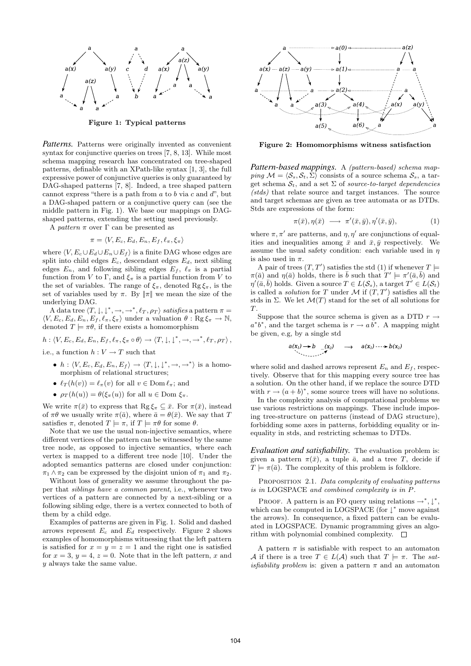

Figure 1: Typical patterns

*Patterns.* Patterns were originally invented as convenient syntax for conjunctive queries on trees [7, 8, 13]. While most schema mapping research has concentrated on tree-shaped patterns, definable with an XPath-like syntax [1, 3], the full expressive power of conjunctive queries is only guaranteed by DAG-shaped patterns [7, 8]. Indeed, a tree shaped pattern cannot express "there is a path from  $a$  to  $b$  via  $c$  and  $d$ ", but a DAG-shaped pattern or a conjunctive query can (see the middle pattern in Fig. 1). We base our mappings on DAGshaped patterns, extending the setting used previously.

A pattern  $\pi$  over  $\Gamma$  can be presented as

$$
\pi = \langle V, E_c, E_d, E_n, E_f, \ell_\pi, \xi_\pi \rangle
$$

where  $\langle V, E_c \cup E_d \cup E_n \cup E_f \rangle$  is a finite DAG whose edges are split into child edges  $E_c$ , descendant edges  $E_d$ , next sibling edges  $E_n$ , and following sibling edges  $E_f$ ,  $\ell_\pi$  is a partial function from V to Γ, and  $\xi_{\pi}$  is a partial function from V to the set of variables. The range of  $\xi_{\pi}$ , denoted Rg $\xi_{\pi}$ , is the set of variables used by  $\pi$ . By  $\|\pi\|$  we mean the size of the underlying DAG.

A data tree  $\langle T, \downarrow, \downarrow^*, \rightarrow, \rightarrow^*, \ell_T, \rho_T \rangle$  satisfies a pattern  $\pi =$  $\langle V, E_c, E_d, E_n, E_f, \ell_\pi, \xi_\pi \rangle$  under a valuation  $\theta : \text{Rg} \xi_\pi \to \mathbb{N}$ , denoted  $T \models \pi \theta$ , if there exists a homomorphism

$$
h: \langle V, E_c, E_d, E_n, E_f, \ell_\pi, \xi_\pi \circ \theta \rangle \to \langle T, \downarrow, \downarrow^*, \to, \to^*, \ell_T, \rho_T \rangle,
$$

i.e., a function  $h: V \to T$  such that

- $h: \langle V, E_c, E_d, E_n, E_f \rangle \rightarrow \langle T, \downarrow, \downarrow^*, \rightarrow, \rightarrow^* \rangle$  is a homomorphism of relational structures;
- $\ell_T (h(v)) = \ell_{\pi}(v)$  for all  $v \in \text{Dom } \ell_{\pi}$ ; and
- $\rho_T(h(u)) = \theta(\xi_\pi(u))$  for all  $u \in \text{Dom } \xi_\pi$ .

We write  $\pi(\bar{x})$  to express that  $\text{Rg }\xi_{\pi} \subseteq \bar{x}$ . For  $\pi(\bar{x})$ , instead of  $\pi\theta$  we usually write  $\pi(\bar{a})$ , where  $\bar{a} = \theta(\bar{x})$ . We say that T satisfies  $\pi$ , denoted  $T \models \pi$ , if  $T \models \pi \theta$  for some  $\theta$ .

Note that we use the usual non-injective semantics, where different vertices of the pattern can be witnessed by the same tree node, as opposed to injective semantics, where each vertex is mapped to a different tree node [10]. Under the adopted semantics patterns are closed under conjunction:  $\pi_1 \wedge \pi_2$  can be expressed by the disjoint union of  $\pi_1$  and  $\pi_2$ .

Without loss of generality we assume throughout the paper that siblings have a common parent, i.e., whenever two vertices of a pattern are connected by a next-sibling or a following sibling edge, there is a vertex connected to both of them by a child edge.

Examples of patterns are given in Fig. 1. Solid and dashed arrows represent  $E_c$  and  $E_d$  respectively. Figure 2 shows examples of homomorphisms witnessing that the left pattern is satisfied for  $x = y = z = 1$  and the right one is satisfied for  $x = 3$ ,  $y = 4$ ,  $z = 0$ . Note that in the left pattern, x and y always take the same value.



Figure 2: Homomorphisms witness satisfaction

*Pattern-based mappings.* A (pattern-based) schema mapping  $\mathcal{M} = \langle \mathcal{S}_s, \mathcal{S}_t, \Sigma \rangle$  consists of a source schema  $\mathcal{S}_s$ , a target schema  $S_t$ , and a set  $\Sigma$  of source-to-target dependencies (stds) that relate source and target instances. The source and target schemas are given as tree automata or as DTDs. Stds are expressions of the form:

$$
\pi(\bar{x}), \eta(\bar{x}) \longrightarrow \pi'(\bar{x}, \bar{y}), \eta'(\bar{x}, \bar{y}), \tag{1}
$$

where  $\pi, \pi'$  are patterns, and  $\eta, \eta'$  are conjunctions of equalities and inequalities among  $\bar{x}$  and  $\bar{x}, \bar{y}$  respectively. We assume the usual safety condition: each variable used in  $\eta$ is also used in  $\pi$ .

A pair of trees  $(T, T')$  satisfies the std (1) if whenever  $T \models$  $\pi(\bar{a})$  and  $\eta(\bar{a})$  holds, there is  $\bar{b}$  such that  $T' \models \pi'(\bar{a}, \bar{b})$  and  $\eta'(\bar{a}, \bar{b})$  holds. Given a source  $T \in L(\mathcal{S}_s)$ , a target  $T' \in L(\mathcal{S}_t)$ is called a *solution* for T under  $M$  if  $(T, T')$  satisfies all the stds in  $\Sigma$ . We let  $\mathcal{M}(T)$  stand for the set of all solutions for T.

Suppose that the source schema is given as a DTD  $r \rightarrow$  $a^*b^*$ , and the target schema is  $r \to a\overline{b^*}$ . A mapping might be given, e.g, by a single std

$$
a(x_1) \rightarrow b \quad (x_2) \quad \rightarrow \quad a(x_1) \cdots \rightarrow b(x_2)
$$

where solid and dashed arrows represent  $E_n$  and  $E_f$ , respectively. Observe that for this mapping every source tree has a solution. On the other hand, if we replace the source DTD with  $r \to (a+b)^*$ , some source trees will have no solutions.

In the complexity analysis of computational problems we use various restrictions on mappings. These include imposing tree-structure on patterns (instead of DAG structure), forbidding some axes in patterns, forbidding equality or inequality in stds, and restricting schemas to DTDs.

*Evaluation and satisfiability.* The evaluation problem is: given a pattern  $\pi(\bar{x})$ , a tuple  $\bar{a}$ , and a tree T, decide if  $T \models \pi(\bar{a})$ . The complexity of this problem is folklore.

PROPOSITION 2.1. Data complexity of evaluating patterns is in LOGSPACE and combined complexity is in P.

PROOF. A pattern is an FO query using relations  $\rightarrow^*, \downarrow^*,$ which can be computed in LOGSPACE (for  $\downarrow$ <sup>\*</sup> move against the arrows). In consequence, a fixed pattern can be evaluated in LOGSPACE. Dynamic programming gives an algorithm with polynomial combined complexity.  $\square$ 

A pattern  $\pi$  is satisfiable with respect to an automaton A if there is a tree  $T \in L(\mathcal{A})$  such that  $T \models \pi$ . The satisfiability problem is: given a pattern  $\pi$  and an automaton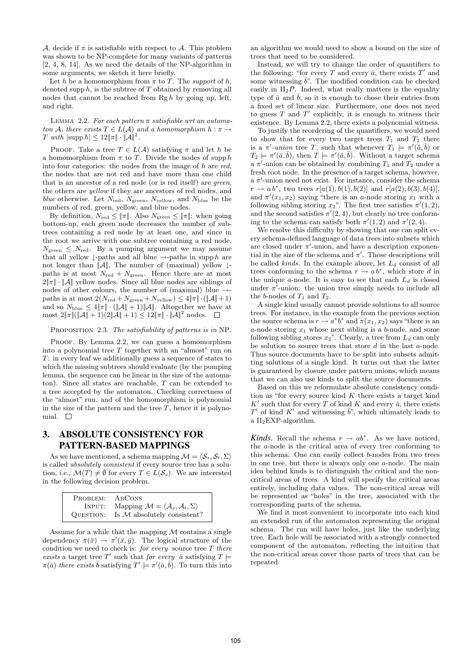A, decide if  $\pi$  is satisfiable with respect to A. This problem was shown to be NP-complete for many variants of patterns [2, 4, 8, 14]. As we need the details of the NP-algorithm in some arguments, we sketch it here briefly.

Let h be a homomorphism from  $\pi$  to T. The support of h, denoted supp  $h$ , is the subtree of  $T$  obtained by removing all nodes that cannot be reached from  $\text{Rg} h$  by going up, left, and right.

LEMMA 2.2. For each pattern  $\pi$  satisfiable wrt an automaton A, there exists  $T \in L(\mathcal{A})$  and a homomorphism  $h : \pi \to$ T with  $|\text{supp } h| \leq 12 ||\pi|| \cdot ||A||^2$ .

PROOF. Take a tree  $T \in L(\mathcal{A})$  satisfying  $\pi$  and let h be a homomorphism from  $\pi$  to T. Divide the nodes of supp h into four categories: the nodes from the image of  $h$  are  $red$ , the nodes that are not red and have more than one child that is an ancestor of a red node (or is red itself) are green, the others are yellow if they are ancestors of red nodes, and blue otherwise. Let  $N_{\text{red}}$ ,  $N_{\text{green}}$ ,  $N_{\text{yellow}}$ , and  $N_{\text{blue}}$  be the numbers of red, green, yellow, and blue nodes.

By definition,  $N_{\text{red}} \leq ||\pi||$ . Also  $N_{\text{green}} \leq ||\pi||$ : when going bottom-up, each green node decreases the number of subtrees containing a red node by at least one, and since in the root we arrive with one subtree containing a red node,  $N_{\text{green}} \leq N_{\text{red}}$ . By a pumping argument we may assume that all yellow  $\downarrow$ -paths and all blue  $\rightarrow$ -paths in supp h are not longer than  $||A||$ , The number of (maximal) yellow  $\downarrow$ paths is at most  $N_{\text{red}} + N_{\text{green}}$ . Hence there are at most  $2\|\pi\| \cdot \|\mathcal{A}\|$  yellow nodes. Since all blue nodes are siblings of nodes of other colours, the number of (maximal) blue  $\rightarrow$ paths is at most  $2(N_{\text{red}}+N_{\text{green}}+N_{\text{yellow}}) \leq 4\|\pi\| \cdot (\|\mathcal{A}\|+1)$ and so  $N_{blue} \leq 4\|\pi\| \cdot (\|A\|+1)\|A\|$ . Altogether we have at most  $2\|\pi\| (\|\mathcal{A}\| + 1)(2\|\mathcal{A}\| + 1) \leq 12\|\pi\| \cdot \|\mathcal{A}\|^2$  nodes.  $\square$ 

PROPOSITION 2.3. The satisfiability of patterns is in NP.

PROOF. By Lemma 2.2, we can guess a homomorphism into a polynomial tree  $T$  together with an "almost" run on T: in every leaf we additionally guess a sequence of states to which the missing subtrees should evaluate (by the pumping lemma, the sequence can be linear in the size of the automaton). Since all states are reachable, T can be extended to a tree accepted by the automaton. Checking correctness of the "almost" run, and of the homomorphism is polynomial in the size of the pattern and the tree  $T$ , hence it is polynomial.  $\Box$ 

## 3. ABSOLUTE CONSISTENCY FOR PATTERN-BASED MAPPINGS

As we have mentioned, a schema mapping  $\mathcal{M} = \langle \mathcal{S}_{s}, \mathcal{S}_{t}, \Sigma \rangle$ is called absolutely consistent if every source tree has a solution, i.e.,  $\mathcal{M}(T) \neq \emptyset$  for every  $T \in L(\mathcal{S}_s)$ . We are interested in the following decision problem.

| PROBLEM:  | ABCONS                                                                       |
|-----------|------------------------------------------------------------------------------|
| INPUT:    | Mapping $\mathcal{M} = \langle \mathcal{A}_s, \mathcal{A}_t, \Sigma \rangle$ |
| QUESTION: | Is $M$ absolutely consistent?                                                |

Assume for a while that the mapping  $M$  contains a single dependency  $\pi(\bar{x}) \to \pi'(\bar{x}, \bar{y})$ . The logical structure of the condition we need to check is: for every source tree  $T$  there exists a target tree T' such that for every  $\bar{a}$  satisfying  $T \models$  $\pi(\bar{a})$  there exists  $\bar{b}$  satisfying  $T' \models \pi'(\bar{a}, \bar{b})$ . To turn this into

an algorithm we would need to show a bound on the size of trees that need to be considered.

Instead, we will try to change the order of quantifiers to the following: "for every T and every  $\bar{a}$ , there exists  $T'$  and some witnessing  $b$ ". The modified condition can be checked easily in  $\Pi_2P$ . Indeed, what really matters is the equality type of  $\bar{a}$  and  $\bar{b}$ , so it is enough to chose their entries from a fixed set of linear size. Furthermore, one does not need to guess  $T$  and  $T'$  explicitly, it is enough to witness their existence. By Lemma 2.2, there exists a polynomial witness.

To justify the reordering of the quantifiers, we would need to show that for every two target trees  $T_1$  and  $T_2$  there is a  $\pi'$ -union tree T, such that whenever  $T_1 \models \pi'(\bar{a}, \bar{b})$  or  $T_2 \models \pi'(\bar{a}, \bar{b}),$  then  $T \models \pi'(\bar{a}, \bar{b}).$  Without a target schema a  $\pi'$ -union can be obtained by combining  $T_1$  and  $T_2$  under a fresh root node. In the presence of a target schema, however,  $a \pi'$ -union need not exist. For instance, consider the schema  $r \to ab^*$ , two trees  $r[a(1), b(1), b(2)]$  and  $r[a(2), b(3), b(4)]$ , and  $\pi'(x_1, x_2)$  saying "there is an a-node storing  $x_1$  with a following sibling storing  $x_2$ ". The first tree satisfies  $\pi'(1,2)$ , and the second satisfies  $\pi'(2, 4)$ , but clearly no tree conforming to the schema can satisfy both  $\pi'(1, 2)$  and  $\pi'(2, 4)$ .

We resolve this difficulty by showing that one can split every schema-defined language of data trees into subsets which are closed under  $\pi'$ -union, and have a description exponential in the size of the schema and  $\pi'$ . Those descriptions will be called *kinds*. In the example above, let  $L_d$  consist of all trees conforming to the schema  $r \to ab^*$ , which store d in the unique a-node. It is easy to see that each  $L_d$  is closed under  $\pi$ <sup>7</sup>-union: the union tree simply needs to include all the b-nodes of  $T_1$  and  $T_2$ .

A single kind usually cannot provide solutions to all source trees. For instance, in the example from the previous section the source schema is  $r \to a^*b^*$  and  $\pi(x_1, x_2)$  says "there is an a-node storing  $x_1$  whose next sibling is a b-node, and some following sibling stores  $x_2$ ". Clearly, a tree from  $L_d$  can only be solution to source trees that store  $d$  in the last  $a$ -node. Thus source documents have to be split into subsets admitting solutions of a single kind. It turns out that the latter is guaranteed by closure under pattern unions, which means that we can also use kinds to split the source documents.

Based on this we reformulate absolute consistency condition as "for every source kind  $K$  there exists a target kind  $K'$  such that for every T of kind K and every  $\bar{a}$ , there exists  $T'$  of kind  $K'$  and witnessing  $\bar{b}$ ", which ultimately leads to a  $\Pi_2$ EXP-algorithm.

*Kinds.* Recall the schema  $r \to ab^*$ . As we have noticed, the a-node is the critical area of every tree conforming to this schema. One can easily collect b-nodes from two trees in one tree, but there is always only one a-node. The main idea behind kinds is to distinguish the critical and the noncritical areas of trees. A kind will specify the critical areas entirely, including data values. The non-critical areas will be represented as "holes" in the tree, associated with the corresponding parts of the schema.

We find it most convenient to incorporate into each kind an extended run of the automaton representing the original schema. The run will have holes, just like the underlying tree. Each hole will be associated with a strongly connected component of the automaton, reflecting the intuition that the non-critical areas cover those parts of trees that can be repeated.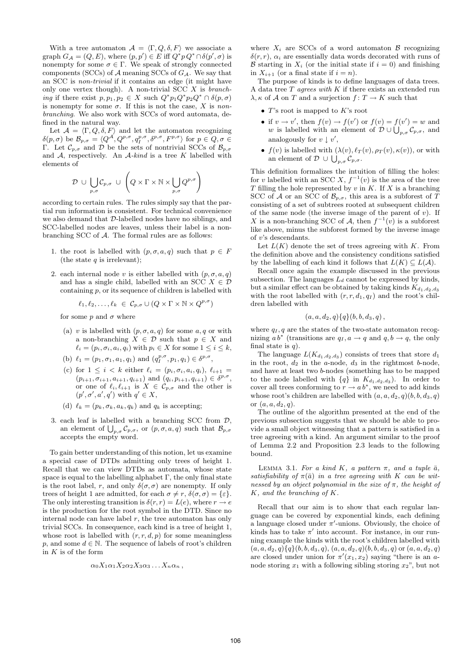With a tree automaton  $A = \langle \Gamma, Q, \delta, F \rangle$  we associate a graph  $G_{\mathcal{A}} = (Q, E)$ , where  $(p, p') \in E$  iff  $Q^* p Q^* \cap \delta(p', \sigma)$  is nonempty for some  $\sigma \in \Gamma$ . We speak of strongly connected components (SCCs) of  $A$  meaning SCCs of  $G_A$ . We say that an SCC is non-trivial if it contains an edge (it might have only one vertex though). A non-trivial SCC  $X$  is branching if there exist  $p, p_1, p_2 \in X$  such  $Q^* p_1 Q^* p_2 Q^* \cap \delta(p, \sigma)$ is nonempty for some  $\sigma$ . If this is not the case, X is nonbranching. We also work with SCCs of word automata, defined in the natural way.

Let  $\mathcal{A} = \langle \Gamma, Q, \delta, F \rangle$  and let the automaton recognizing  $\delta(p,\sigma)$  be  $\mathcal{B}_{p,\sigma} = \langle Q^{\mathcal{A}}, Q^{p,\sigma}, q^{p,\sigma}_I, \delta^{p,\sigma}, F^{p,\sigma} \rangle$  for  $p \in Q, \sigma \in \mathcal{A}$ Γ. Let  $C_{p,\sigma}$  and D be the sets of nontrivial SCCs of  $\mathcal{B}_{p,\sigma}$ and  $A$ , respectively. An  $A$ -kind is a tree K labelled with elements of

$$
\mathcal{D} \ \cup \ \bigcup_{p,\sigma} \mathcal{C}_{p,\sigma} \ \cup \ \left( Q \times \Gamma \times \mathbb{N} \times \bigcup_{p,\sigma} Q^{p,\sigma} \right)
$$

according to certain rules. The rules simply say that the partial run information is consistent. For technical convenience we also demand that D-labelled nodes have no siblings, and SCC-labelled nodes are leaves, unless their label is a nonbranching SCC of A. The formal rules are as follows:

- 1. the root is labelled with  $(p, \sigma, a, q)$  such that  $p \in F$ (the state  $q$  is irrelevant);
- 2. each internal node v is either labelled with  $(p, \sigma, a, q)$ and has a single child, labelled with an SCC  $X \in \mathcal{D}$ containing p, or its sequence of children is labelled with

$$
\ell_1, \ell_2, \ldots, \ell_k \in \mathcal{C}_{p,\sigma} \cup (Q \times \Gamma \times \mathbb{N} \times Q^{p,\sigma})
$$

for some p and  $\sigma$  where

- (a) v is labelled with  $(p, \sigma, a, q)$  for some  $a, q$  or with a non-branching  $X \in \mathcal{D}$  such that  $p \in X$  and  $\ell_i = (p_i, \sigma_i, a_i, q_i)$  with  $p_i \in X$  for some  $1 \leq i \leq k$ ,
- (b)  $\ell_1 = (p_1, \sigma_1, a_1, q_1)$  and  $(q_I^{p, \sigma}, p_1, q_1) \in \delta^{p, \sigma}$ ,
- (c) for  $1 \leq i \leq k$  either  $\ell_i = (p_i, \sigma_i, a_i, q_i), \ell_{i+1} =$  $(p_{i+1}, \sigma_{i+1}, a_{i+1}, q_{i+1})$  and  $(q_i, p_{i+1}, q_{i+1}) \in \delta^{p,\sigma}$ , or one of  $\ell_i, \ell_{i+1}$  is  $X \in \mathcal{C}_{p,\sigma}$  and the other is  $(p', \sigma', a', q')$  with  $q' \in X$ ,
- (d)  $\ell_k = (p_k, \sigma_k, a_k, q_k)$  and  $q_k$  is accepting;
- 3. each leaf is labelled with a branching SCC from  $D$ , an element of  $\bigcup_{p,\sigma} C_{p,\sigma}$ , or  $(p,\sigma,a,q)$  such that  $\mathcal{B}_{p,\sigma}$ accepts the empty word.

To gain better understanding of this notion, let us examine a special case of DTDs admitting only trees of height 1. Recall that we can view DTDs as automata, whose state space is equal to the labelling alphabet  $\Gamma$ , the only final state is the root label, r, and only  $\delta(\sigma, \sigma)$  are nonempty. If only trees of height 1 are admitted, for each  $\sigma \neq r$ ,  $\delta(\sigma, \sigma) = {\varepsilon}.$ The only interesting transition is  $\delta(r, r) = L(e)$ , where  $r \to e$ is the production for the root symbol in the DTD. Since no internal node can have label  $r$ , the tree automaton has only trivial SCCs. In consequence, each kind is a tree of height 1, whose root is labelled with  $(r, r, d, p)$  for some meaningless p, and some  $d \in \mathbb{N}$ . The sequence of labels of root's children in  $K$  is of the form

$$
\alpha_0 X_1 \alpha_1 X_2 \alpha_2 X_3 \alpha_3 \ldots X_n \alpha_n ,
$$

where  $X_i$  are SCCs of a word automaton  $\beta$  recognizing  $\delta(r,r)$ ,  $\alpha_i$  are essentially data words decorated with runs of B starting in  $X_i$  (or the initial state if  $i = 0$ ) and finishing in  $X_{i+1}$  (or a final state if  $i = n$ ).

The purpose of kinds is to define languages of data trees. A data tree  $T$  agrees with  $K$  if there exists an extended run  $\lambda, \kappa$  of A on T and a surjection  $f: T \to K$  such that

- $T$ 's root is mapped to  $K$ 's root
- if  $v \to v'$ , then  $f(v) \to f(v')$  or  $f(v) = f(v') = w$  and w is labelled with an element of  $\mathcal{D} \cup \bigcup_{p,\sigma} \mathcal{C}_{p,\sigma}$ , and analogously for  $v \downarrow v'$ ,
- $f(v)$  is labelled with  $(\lambda(v), \ell_T(v), \rho_T(v), \kappa(v))$ , or with an element of  $\mathcal{D} \cup \bigcup_{p,\sigma} \mathcal{C}_{p,\sigma}$ .

This definition formalizes the intuition of filling the holes: for v labelled with an SCC X,  $f^{-1}(v)$  is the area of the tree T filling the hole represented by  $v$  in  $K$ . If  $X$  is a branching SCC of A or an SCC of  $\mathcal{B}_{p,\sigma}$ , this area is a subforest of T consisting of a set of subtrees rooted at subsequent children of the same node (the inverse image of the parent of  $v$ ). If X is a non-branching SCC of A, then  $f^{-1}(v)$  is a subforest like above, minus the subforest formed by the inverse image of v's descendants.

Let  $L(K)$  denote the set of trees agreeing with K. From the definition above and the consistency conditions satisfied by the labelling of each kind it follows that  $L(K) \subseteq L(\mathcal{A})$ .

Recall once again the example discussed in the previous subsection. The languages  $L_d$  cannot be expressed by kinds, but a similar effect can be obtained by taking kinds  $K_{d_1,d_2,d_3}$ with the root labelled with  $(r, r, d_1, q_I)$  and the root's children labelled with

$$
(a, a, d_2, q) \{q\}(b, b, d_3, q),
$$

where  $q_I, q$  are the states of the two-state automaton recognizing  $ab^*$  (transitions are  $q_I, a \rightarrow q$  and  $q, b \rightarrow q$ , the only final state is  $q$ ).

The language  $L(K_{d_1,d_2,d_3})$  consists of trees that store  $d_1$ in the root,  $d_2$  in the a-node,  $d_3$  in the rightmost b-node, and have at least two b-nodes (something has to be mapped to the node labelled with  $\{q\}$  in  $K_{d_1,d_2,d_3}$ ). In order to cover all trees conforming to  $r \to a b^*$ , we need to add kinds whose root's children are labelled with  $(a, a, d_2, q)(b, b, d_3, q)$ or  $(a, a, d_2, q)$ .

The outline of the algorithm presented at the end of the previous subsection suggests that we should be able to provide a small object witnessing that a pattern is satisfied in a tree agreeing with a kind. An argument similar to the proof of Lemma 2.2 and Proposition 2.3 leads to the following bound.

LEMMA 3.1. For a kind K, a pattern  $\pi$ , and a tuple  $\bar{a}$ , satisfiability of  $\pi(\bar{a})$  in a tree agreeing with K can be witnessed by an object polynomial in the size of  $\pi$ , the height of K, and the branching of K.

Recall that our aim is to show that each regular language can be covered by exponential kinds, each defining a language closed under  $\pi'$ -unions. Obviously, the choice of kinds has to take  $\pi'$  into account. For instance, in our running example the kinds with the root's children labelled with  $(a, a, d_2, q)$ { $q$ }(b, b, d<sub>3</sub>, q),  $(a, a, d_2, q)$ (b, b, d<sub>3</sub>, q) or  $(a, a, d_2, q)$ are closed under union for  $\pi'(x_1, x_2)$  saying "there is an anode storing  $x_1$  with a following sibling storing  $x_2$ ", but not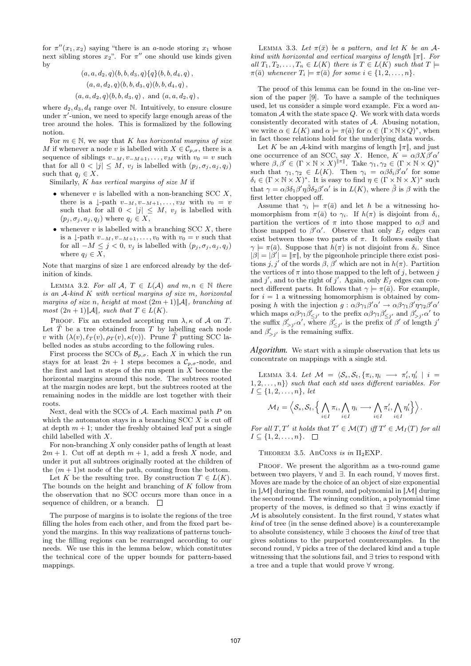for  $\pi''(x_1, x_2)$  saying "there is an a-node storing  $x_1$  whose next sibling stores  $x_2$ ". For  $\pi''$  one should use kinds given by

$$
(a, a, d_2, q)(b, b, d_3, q)\{q\}(b, b, d_4, q),(a, a, d_2, q)(b, b, d_3, q)(b, b, d_4, q),(a, a, d_2, q)(b, b, d_3, q), and (a, a, d_2, q),
$$

where  $d_2, d_3, d_4$  range over N. Intuitively, to ensure closure under  $\pi'$ -union, we need to specify large enough areas of the tree around the holes. This is formalized by the following notion.

For  $m \in \mathbb{N}$ , we say that K has horizontal margins of size M if whenever a node v is labelled with  $X \in \mathcal{C}_{p,\sigma}$ , there is a sequence of siblings  $v_{-M}, v_{-M+1}, \ldots, v_M$  with  $v_0 = v$  such that for all  $0 < |j| \leq M$ ,  $v_j$  is labelled with  $(p_j, \sigma_j, a_j, q_j)$ such that  $q_j \in X$ .

Similarly, K has vertical margins of size M if

- whenever  $v$  is labelled with a non-branching SCC  $X$ , there is a  $\downarrow$ -path  $v_{-M}, v_{-M+1}, \ldots, v_M$  with  $v_0 = v$ such that for all  $0 < |j| \leq M$ ,  $v_j$  is labelled with  $(p_j, \sigma_j, a_j, q_j)$  where  $q_j \in X$ ,
- whenever  $v$  is labelled with a branching SCC  $X$ , there is a  $\downarrow$ -path  $v_{-M}, v_{-M+1}, \ldots, v_0$  with  $v_0 = v$  such that for all  $-M \leq j < 0$ ,  $v_j$  is labelled with  $(p_j, \sigma_j, a_j, q_j)$ where  $q_j \in X$ ,

Note that margins of size 1 are enforced already by the definition of kinds.

LEMMA 3.2. For all  $A, T \in L(\mathcal{A})$  and  $m, n \in \mathbb{N}$  there is an A-kind K with vertical margins of size m, horizontal margins of size n, height at most  $(2m+1)\|\mathcal{A}\|$ , branching at most  $(2n+1)\|\mathcal{A}\|$ , such that  $T \in L(K)$ .

PROOF. Fix an extended accepting run  $\lambda$ ,  $\kappa$  of  $\mathcal A$  on  $T$ . Let  $\tilde{T}$  be a tree obtained from T by labelling each node v with  $(\lambda(v), \ell_T(v), \rho_T(v), \kappa(v))$ . Prune T putting SCC labelled nodes as stubs according to the following rules.

First process the SCCs of  $\mathcal{B}_{p,\sigma}$ . Each X in which the run stays for at least  $2n + 1$  steps becomes a  $\mathcal{C}_{p,\sigma}$ -node, and the first and last  $n$  steps of the run spent in  $X$  become the horizontal margins around this node. The subtrees rooted at the margin nodes are kept, but the subtrees rooted at the remaining nodes in the middle are lost together with their roots.

Next, deal with the SCCs of  $A$ . Each maximal path  $P$  on which the automaton stays in a branching  $SCC X$  is cut off at depth  $m + 1$ ; under the freshly obtained leaf put a single child labelled with X.

For non-branching  $X$  only consider paths of length at least  $2m + 1$ . Cut off at depth  $m + 1$ , add a fresh X node, and under it put all subtrees originally rooted at the children of the  $(m + 1)$ st node of the path, counting from the bottom.

Let K be the resulting tree. By construction  $T \in L(K)$ . The bounds on the height and branching of K follow from the observation that no SCC occurs more than once in a sequence of children, or a branch.  $\square$ 

The purpose of margins is to isolate the regions of the tree filling the holes from each other, and from the fixed part beyond the margins. In this way realizations of patterns touching the filling regions can be rearranged according to our needs. We use this in the lemma below, which constitutes the technical core of the upper bounds for pattern-based mappings.

LEMMA 3.3. Let  $\pi(\bar{x})$  be a pattern, and let K be an Akind with horizontal and vertical margins of length  $||\pi||$ . For all  $T_1, T_2, \ldots, T_n \in L(K)$  there is  $T \in L(K)$  such that  $T \models$  $\pi(\bar{a})$  whenever  $T_i \models \pi(\bar{a})$  for some  $i \in \{1, 2, \ldots, n\}.$ 

The proof of this lemma can be found in the on-line version of the paper [9]. To have a sample of the techniques used, let us consider a simple word example. Fix a word automaton  $A$  with the state space  $Q$ . We work with data words consistently decorated with states of A. Abusing notation, we write  $\alpha \in L(K)$  and  $\alpha \models \pi(\bar{a})$  for  $\alpha \in (\Gamma \times \mathbb{N} \times Q)^*$ , when in fact those relations hold for the underlying data words.

Let K be an A-kind with margins of length  $||\pi||$ , and just one occurrence of an SCC, say X. Hence,  $K = \alpha \beta X \beta' \alpha'$ where  $\beta, \beta' \in (\Gamma \times \mathbb{N} \times X)^{||\pi||}$ . Take  $\gamma_1, \gamma_2 \in (\Gamma \times \mathbb{N} \times Q)^*$ such that  $\gamma_1, \gamma_2 \in L(K)$ . Then  $\gamma_i = \alpha \beta \delta_i \beta' \alpha'$  for some  $\delta_i \in (\Gamma \times \mathbb{N} \times X)^*$ . It is easy to find  $\eta \in (\Gamma \times \mathbb{N} \times X)^*$  such that  $\gamma = \alpha \beta \delta_1 \beta' \eta \tilde{\beta} \delta_2 \beta' \alpha'$  is in  $L(K)$ , where  $\tilde{\beta}$  is  $\beta$  with the first letter chopped off.

Assume that  $\gamma_i \models \pi(\bar{a})$  and let h be a witnessing homomorphism from  $\pi(\bar{a})$  to  $\gamma_i$ . If  $h(\pi)$  is disjoint from  $\delta_i$ , partition the vertices of  $\pi$  into those mapped to  $\alpha\beta$  and those mapped to  $\beta' \alpha'$ . Observe that only  $E_f$  edges can exist between those two parts of  $\pi$ . It follows easily that  $\gamma \models \pi(\bar{a})$ . Suppose that  $h(\pi)$  is not disjoint from  $\delta_i$ . Since  $|\beta| = |\beta'| = |\pi|$ , by the pigeonhole principle there exist positions j, j' of the words  $\beta$ ,  $\beta'$  which are not in  $h(\pi)$ . Partition the vertices of  $\pi$  into those mapped to the left of j, between j and j', and to the right of j'. Again, only  $E_f$  edges can connect different parts. It follows that  $\gamma \models \pi(\bar{a})$ . For example, for  $i = 1$  a witnessing homomorphism is obtained by composing h with the injection  $g : \alpha \beta \gamma_1 \beta' \alpha' \rightarrow \alpha \beta \gamma_1 \beta' \eta \gamma_2 \beta' \alpha'$ which maps  $\alpha\beta\gamma_1\beta'_{\leq j'}$  to the prefix  $\alpha\beta\gamma_1\beta'_{\leq j'}$  and  $\beta'_{>j'}\alpha'$  to the suffix  $\beta'_{>j'}\alpha'$ , where  $\beta'_{\leq j'}$  is the prefix of  $\beta'$  of length j' and  $\beta'_{>j'}$  is the remaining suffix.

*Algorithm.* We start with a simple observation that lets us concentrate on mappings with a single std.

LEMMA 3.4. Let  $\mathcal{M} = \langle \mathcal{S}_s, \mathcal{S}_t, \{\pi_i, \eta_i \longrightarrow \pi'_i, \eta'_i \mid i =$  $\{1, 2, \ldots, n\}$  such that each std uses different variables. For  $I \subseteq \{1, 2, \ldots, n\}, let$ 

$$
\mathcal{M}_I=\left\langle \mathcal{S}_s, \mathcal{S}_t, \left\{ \bigwedge_{i\in I}\pi_i, \bigwedge_{i\in I}\eta_i \longrightarrow \bigwedge_{i\in I}\pi'_i, \bigwedge_{i\in I}\eta'_i \right\} \right\rangle.
$$

For all T, T' it holds that  $T' \in \mathcal{M}(T)$  iff  $T' \in \mathcal{M}_I(T)$  for all  $I \subseteq \{1, 2, \ldots, n\}.$ 

THEOREM 3.5. ABCONS is in  $\Pi_2$ EXP.

PROOF. We present the algorithm as a two-round game between two players, ∀ and ∃. In each round, ∀ moves first. Moves are made by the choice of an object of size exponential in  $\|\mathcal{M}\|$  during the first round, and polynomial in  $\|\mathcal{M}\|$  during the second round. The winning condition, a polynomial time property of the moves, is defined so that ∃ wins exactly if  $M$  is absolutely consistent. In the first round,  $\forall$  states what kind of tree (in the sense defined above) is a counterexample to absolute consistency, while ∃ chooses the kind of tree that gives solutions to the purported counterexamples. In the second round, ∀ picks a tree of the declared kind and a tuple witnessing that the solutions fail, and ∃ tries to respond with a tree and a tuple that would prove ∀ wrong.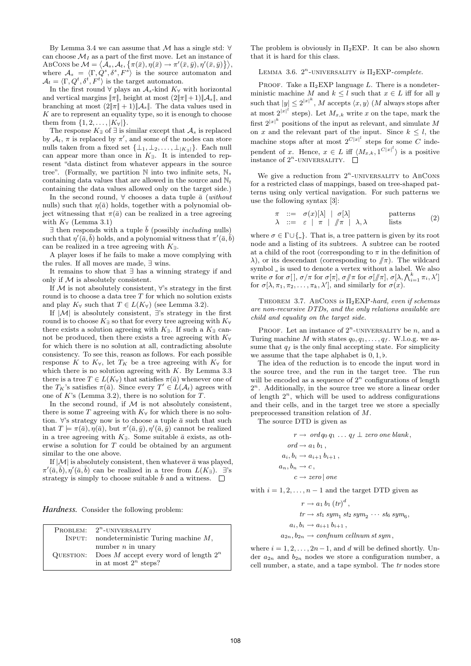By Lemma 3.4 we can assume that  $M$  has a single std:  $\forall$ can choose  $\mathcal{M}_I$  as a part of the first move. Let an instance of  $\text{ABCONS}\text{ be } \mathcal{M}=\langle \overline{\mathcal{A}}_s, \mathcal{A}_t, \big\{ \pi(\bar{x}), \eta(\bar{x}) \to \pi'(\bar{x}, \bar{y}), \eta'(\bar{x}, \bar{y}) \big\} \rangle,$ where  $A_s = \langle \Gamma, \dot{Q}^s, \delta^s, F^s \rangle$  is the source automaton and  $A_t = \langle \Gamma, Q^t, \delta^t, F^t \rangle$  is the target automaton.

In the first round  $\forall$  plays an  $\mathcal{A}_s$ -kind  $K_{\forall}$  with horizontal and vertical margins  $||\pi||$ , height at most  $(2||\pi||+1)||\mathcal{A}_s||$ , and branching at most  $(2||\pi|| + 1)||\mathcal{A}_s||$ . The data values used in K are to represent an equality type, so it is enough to choose them from  $\{1, 2, ..., |K_{\forall}\}$ .

The response  $K_{\exists}$  of  $\exists$  is similar except that  $\mathcal{A}_s$  is replaced by  $A_t$ ,  $\pi$  is replaced by  $\pi'$ , and some of the nodes can store nulls taken from a fixed set  $\{\perp_1, \perp_2, \ldots, \perp_{|K_{\exists}|}\}.$  Each null can appear more than once in  $K_{\exists}$ . It is intended to represent "data distinct from whatever appears in the source tree". (Formally, we partition  $\mathbb N$  into two infinite sets,  $\mathbb N_s$ containing data values that are allowed in the source and  $\mathbb{N}_t$ containing the data values allowed only on the target side.)

In the second round,  $\forall$  chooses a data tuple  $\bar{a}$  (without nulls) such that  $\eta(\bar{a})$  holds, together with a polynomial object witnessing that  $\pi(\bar{a})$  can be realized in a tree agreeing with  $K_{\forall}$  (Lemma 3.1)

 $\exists$  then responds with a tuple  $\bar{b}$  (possibly *including* nulls) such that  $\eta'(\bar{a}, \bar{b})$  holds, and a polynomial witness that  $\pi'(\bar{a}, \bar{b})$ can be realized in a tree agreeing with  $K_{\exists}$ .

A player loses if he fails to make a move complying with the rules. If all moves are made, ∃ wins.

It remains to show that ∃ has a winning strategy if and only if  $M$  is absolutely consistent.

If  $M$  is not absolutely consistent,  $\forall$ 's strategy in the first round is to choose a data tree  $T$  for which no solution exists and play  $K_{\forall}$  such that  $T \in L(K_{\forall})$  (see Lemma 3.2).

If  $|\mathcal{M}|$  is absolutely consistent,  $\exists$ 's strategy in the first round is to choose  $K<sub>∃</sub>$  so that for every tree agreeing with  $K<sub>∀</sub>$ there exists a solution agreeing with  $K_{\exists}$ . If such a  $K_{\exists}$  cannot be produced, then there exists a tree agreeing with  $K_{\forall}$ for which there is no solution at all, contradicting absolute consistency. To see this, reason as follows. For each possible response K to  $K_{\forall}$ , let  $T_K$  be a tree agreeing with  $K_{\forall}$  for which there is no solution agreeing with  $K$ . By Lemma 3.3 there is a tree  $T \in L(K_{\forall})$  that satisfies  $\pi(\bar{a})$  whenever one of the  $T_K$ 's satisfies  $\pi(\bar{a})$ . Since every  $T' \in L(\mathcal{A}_t)$  agrees with one of  $K$ 's (Lemma 3.2), there is no solution for  $T$ .

In the second round, if  $M$  is not absolutely consistent, there is some T agreeing with  $K_{\forall}$  for which there is no solution.  $\forall$ 's strategy now is to choose a tuple  $\bar{a}$  such that such that  $T \models \pi(\bar{a}), \eta(\bar{a}),$  but  $\pi'(\bar{a}, \bar{y}), \eta'(\bar{a}, \bar{y})$  cannot be realized in a tree agreeing with  $K_{\exists}$ . Some suitable  $\bar{a}$  exists, as otherwise a solution for T could be obtained by an argument similar to the one above.

If  $|M|$  is absolutely consistent, then whatever  $\bar{a}$  was played,  $\pi'(\bar{a}, \bar{b}), \eta'(\bar{a}, \bar{b})$  can be realized in a tree from  $L(K_{\exists}).$   $\exists$ 's strategy is simply to choose suitable b and a witness.  $\Box$ 

*Hardness.* Consider the following problem:

| <b>PROBLEM:</b> $2^n$ -UNIVERSALITY                |
|----------------------------------------------------|
| INPUT: nondeterministic Turing machine $M$ ,       |
| number $n$ in unary                                |
| QUESTION: Does M accept every word of length $2^n$ |
| in at most $2^n$ steps?                            |

The problem is obviously in  $\Pi_2$ EXP. It can be also shown that it is hard for this class.

LEMMA 3.6.  $2^n$ -UNIVERSALITY is  $\Pi_2$ EXP-complete.

PROOF. Take a  $\Pi_2$ EXP language L. There is a nondeterministic machine M and  $k \leq l$  such that  $x \in L$  iff for all y such that  $|y| \leq 2^{|x|^k}$ , M accepts  $\langle x, y \rangle$  (M always stops after at most  $2^{|x|^l}$  steps). Let  $M_{x,k}$  write x on the tape, mark the first  $2^{|x|^k}$  positions of the input as relevant, and simulate M on x and the relevant part of the input. Since  $k \leq l$ , the machine stops after at most  $2^{C|x|}$  steps for some C independent of x. Hence,  $x \in L$  iff  $\langle M_{x,k}, 1^{C|x|} \rangle$  is a positive instance of  $2^n$ -UNIVERSALITY.

We give a reduction from  $2^n$ -UNIVERSALITY to ABCONS for a restricted class of mappings, based on tree-shaped patterns using only vertical navigation. For such patterns we use the following syntax [3]:

$$
\begin{array}{rcl}\n\pi & ::= & \sigma(x)[\lambda] \mid \sigma[\lambda] & \text{patterns} \\
\lambda & ::= & \varepsilon \mid \pi \mid \#\pi \mid \lambda, \lambda & \text{lists}\n\end{array} (2)
$$

where  $\sigma \in \Gamma \cup \{\_ \}$ . That is, a tree pattern is given by its root node and a listing of its subtrees. A subtree can be rooted at a child of the root (corresponding to  $\pi$  in the definition of  $\lambda$ ), or its descendant (corresponding to  $/\!\!/ \pi$ ). The wildcard symbol  $\_$  is used to denote a vertex without a label. We also write  $\sigma$  for  $\sigma[]$ ,  $\sigma/\pi$  for  $\sigma[\pi]$ ,  $\sigma/\pi$  for  $\sigma[\pi]$ ,  $\sigma[\lambda, \bigwedge_{i=1}^{k} \pi_i, \lambda']$ for  $\sigma[\lambda, \pi_1, \pi_2, \ldots, \pi_k, \lambda']$ , and similarly for  $\sigma(x)$ .

THEOREM 3.7. ABCONS is  $\Pi_2$ EXP-hard, even if schemas are non-recursive DTDs, and the only relations available are child and equality on the target side.

PROOF. Let an instance of  $2^n$ -UNIVERSALITY be n, and a Turing machine M with states  $q_0, q_1, \ldots, q_f$ . W.l.o.g. we assume that  $q_f$  is the only final accepting state. For simplicity we assume that the tape alphabet is  $(0, 1, b)$ .

The idea of the reduction is to encode the input word in the source tree, and the run in the target tree. The run will be encoded as a sequence of  $2^n$  configurations of length 2 n . Additionally, in the source tree we store a linear order of length  $2^n$ , which will be used to address configurations and their cells, and in the target tree we store a specially preprocessed transition relation of M.

The source DTD is given as

$$
r \to ord q_0 q_1 \dots q_f \perp zero \ one \ blank,
$$
  
ord  $\to a_1 b_1$ ,  

$$
a_i, b_i \to a_{i+1} b_{i+1},
$$
  

$$
a_n, b_n \to c,
$$
  

$$
c \to zero \, | \, one
$$

with  $i = 1, 2, \ldots, n - 1$  and the target DTD given as

$$
r \to a_1 b_1 (tr)^d,
$$
  
\n
$$
tr \to st_1 \, sym_1 \, st_2 \, sym_2 \, \cdots \, st_6 \, sym_6,
$$
  
\n
$$
a_i, b_i \to a_{i+1} b_{i+1},
$$
  
\n
$$
a_{2n}, b_{2n} \to \text{confnum cellnum st sym},
$$

where  $i = 1, 2, \ldots, 2n-1$ , and d will be defined shortly. Under  $a_{2n}$  and  $b_{2n}$  nodes we store a configuration number, a cell number, a state, and a tape symbol. The tr nodes store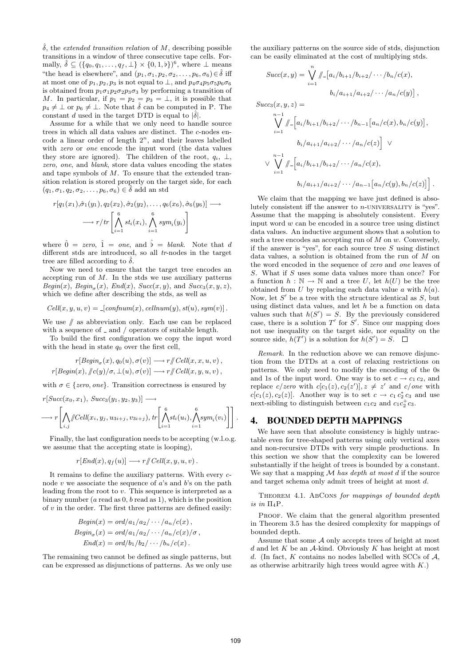$\hat{\delta}$ , the extended transition relation of M, describing possible transitions in a window of three consecutive tape cells. Formally,  $\hat{\delta} \subseteq (\{q_0, q_1, \ldots, q_f, \perp\} \times \{0, 1, \flat\})^6$ , where  $\perp$  means "the head is elsewhere", and  $(p_1, \sigma_1, p_2, \sigma_2, \ldots, p_6, \sigma_6) \in \hat{\delta}$  iff at most one of  $p_1, p_2, p_3$  is not equal to  $\perp$ , and  $p_4\sigma_4p_5\sigma_5p_6\sigma_6$ is obtained from  $p_1 \sigma_1 p_2 \sigma_2 p_3 \sigma_3$  by performing a transition of M. In particular, if  $p_1 = p_2 = p_3 = \perp$ , it is possible that  $p_4 \neq \perp$  or  $p_6 \neq \perp$ . Note that  $\hat{\delta}$  can be computed in P. The constant d used in the target DTD is equal to  $|\hat{\delta}|$ .

Assume for a while that we only need to handle source trees in which all data values are distinct. The c-nodes encode a linear order of length  $2^n$ , and their leaves labelled with *zero* or *one* encode the input word (the data values they store are ignored). The children of the root,  $q_i$ ,  $\perp$ , zero, one, and blank, store data values encoding the states and tape symbols of M. To ensure that the extended transition relation is stored properly on the target side, for each  $(q_1, \sigma_1, q_2, \sigma_2, \ldots, p_6, \sigma_6) \in \delta$  add an std

$$
r[q_1(x_1), \hat{\sigma}_1(y_1), q_2(x_2), \hat{\sigma}_2(y_2), \dots, q_6(x_6), \hat{\sigma}_6(y_6)] \longrightarrow
$$
  

$$
\longrightarrow r/tr\left[\bigwedge_{i=1}^6 st_i(x_i), \bigwedge_{i=1}^6 sym_i(y_i)\right]
$$

where  $\hat{0} = \text{zero}, \hat{1} = \text{one}, \text{ and } \hat{b} = \text{blank}.$  Note that d different stds are introduced, so all tr-nodes in the target tree are filled according to  $\delta$ .

Now we need to ensure that the target tree encodes an accepting run of  $M$ . In the stds we use auxiliary patterns  $Begin(x), Begin_{\sigma}(x), End(x), Succ(x, y),$  and  $Succ_3(x, y, z),$ which we define after describing the stds, as well as

$$
Cell(x, y, u, v) = [confirm(x), cellular(m(y), st(u), sym(v)].
$$

We use  $\#$  as abbreviation only. Each use can be replaced with a sequence of  $\Delta$  and  $\Delta$  operators of suitable length.

To build the first configuration we copy the input word with the head in state  $q_0$  over the first cell,

$$
r[Begin_{\sigma}(x), q_0(u), \sigma(v)] \longrightarrow r/\!\!/ Cell(x, x, u, v),
$$
  

$$
r[Begin(x), \quad \! \! /c(y)/\sigma, \bot(u), \sigma(v)] \longrightarrow r/\!\!/ Cell(x, y, u, v),
$$

with  $\sigma \in \{zero, one\}$ . Transition correctness is ensured by

$$
r[Succ(x_0, x_1), Succ_3(y_1, y_2, y_3)] \longrightarrow \\ \longrightarrow r\left[\bigwedge_{i,j} \text{Cell}(x_i, y_j, u_{3i+j}, v_{3i+j}), tr\left[\bigwedge_{i=1}^6 st_i(u_i), \bigwedge_{i=1}^6 sym_i(v_i)\right]\right].
$$

Finally, the last configuration needs to be accepting (w.l.o.g. we assume that the accepting state is looping),

$$
r[End(x), q_f(u)] \longrightarrow r/\!\!/ Cell(x, y, u, v).
$$

It remains to define the auxiliary patterns. With every cnode  $v$  we associate the sequence of  $a$ 's and  $b$ 's on the path leading from the root to  $v$ . This sequence is interpreted as a binary number ( $a$  read as  $0, b$  read as  $1$ ), which is the position of  $v$  in the order. The first three patterns are defined easily:

$$
Begin(x) = ord/a_1/a_2/\cdots/a_n/c(x),
$$
  
\n
$$
Begin_{\sigma}(x) = ord/a_1/a_2/\cdots/a_n/c(x)/\sigma,
$$
  
\n
$$
End(x) = ord/b_1/b_2/\cdots/b_n/c(x).
$$

The remaining two cannot be defined as single patterns, but can be expressed as disjunctions of patterns. As we only use

the auxiliary patterns on the source side of stds, disjunction can be easily eliminated at the cost of multiplying stds.

$$
Succ(x,y) = \bigvee_{i=1}^{n} \frac{\int_{i=1}^{n} |a_i/b_{i+1}/b_{i+2}/\cdots/b_n/c(x),}{b_i/a_{i+1}/a_{i+2}/\cdots/a_n/c(y)}.
$$

 $Succ_3(x, y, z) =$ 

$$
\bigvee_{i=1}^{n-1} \int_{-1}^{\infty} \Big[ a_i/b_{i+1}/b_{i+2}/\cdots/b_{n-1} \big[ a_n/c(x), b_n/c(y) \big],
$$
  
\n
$$
b_i/a_{i+1}/a_{i+2}/\cdots/a_n/c(z) \Big] \vee
$$
  
\n
$$
\vee \bigvee_{i=1}^{n-1} \int_{-1}^{\infty} \Big[ a_i/b_{i+1}/b_{i+2}/\cdots/a_n/c(x),
$$
  
\n
$$
b_i/a_{i+1}/a_{i+2}/\cdots/a_{n-1} \big[ a_n/c(y), b_n/c(z) \big] \Big].
$$

We claim that the mapping we have just defined is absolutely consistent iff the answer to  $n$ -UNIVERSALITY is "yes". Assume that the mapping is absolutely consistent. Every input word  $w$  can be encoded in a source tree using distinct data values. An inductive argument shows that a solution to such a tree encodes an accepting run of  $M$  on  $w$ . Conversely, if the answer is "yes", for each source tree  $S$  using distinct data values, a solution is obtained from the run of M on the word encoded in the sequence of zero and one leaves of S. What if S uses some data values more than once? For a function  $h : \mathbb{N} \to \mathbb{N}$  and a tree U, let  $h(U)$  be the tree obtained from  $U$  by replacing each data value  $a$  with  $h(a)$ . Now, let  $S'$  be a tree with the structure identical as  $S$ , but using distinct data values, and let  $h$  be a function on data values such that  $h(S') = S$ . By the previously considered case, there is a solution  $T'$  for  $S'$ . Since our mapping does not use inequality on the target side, nor equality on the source side,  $h(T')$  is a solution for  $h(S') = S$ .

Remark. In the reduction above we can remove disjunction from the DTDs at a cost of relaxing restrictions on patterns. We only need to modify the encoding of the 0s and 1s of the input word. One way is to set  $c \rightarrow c_1 c_2$ , and replace  $c$ /zero with  $c[c_1(z), c_2(z')]$ ,  $z \neq z'$  and  $c$ /one with  $c[c_1(z), c_2(z)]$ . Another way is to set  $c \to c_1 c_2^* c_3$  and use next-sibling to distinguish between  $c_1c_2$  and  $c_1c_2^+c_3$ .

#### 4. BOUNDED DEPTH MAPPINGS

We have seen that absolute consistency is highly untractable even for tree-shaped patterns using only vertical axes and non-recursive DTDs with very simple productions. In this section we show that the complexity can be lowered substantially if the height of trees is bounded by a constant. We say that a mapping  $M$  has depth at most d if the source and target schema only admit trees of height at most d.

THEOREM 4.1. ABCONS for mappings of bounded depth is in  $\Pi_4P$ .

PROOF. We claim that the general algorithm presented in Theorem 3.5 has the desired complexity for mappings of bounded depth.

Assume that some A only accepts trees of height at most d and let  $K$  be an  $A$ -kind. Obviously  $K$  has height at most d. (In fact,  $K$  contains no nodes labelled with SCCs of  $A$ , as otherwise arbitrarily high trees would agree with  $K$ .)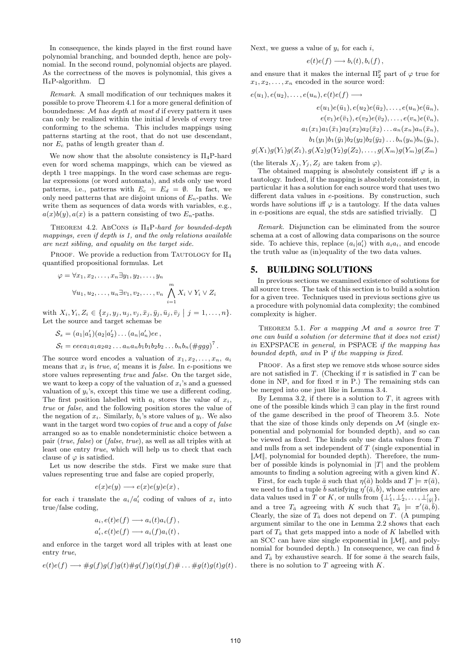In consequence, the kinds played in the first round have polynomial branching, and bounded depth, hence are polynomial. In the second round, polynomial objects are played. As the correctness of the moves is polynomial, this gives a  $\Pi_4$ P-algorithm.  $\Box$ 

Remark. A small modification of our techniques makes it possible to prove Theorem 4.1 for a more general definition of boundedness:  $M$  has depth at most d if every pattern it uses can only be realized within the initial  $d$  levels of every tree conforming to the schema. This includes mappings using patterns starting at the root, that do not use descendant, nor  $E_c$  paths of length greater than d.

We now show that the absolute consistency is  $\Pi_4$ P-hard even for word schema mappings, which can be viewed as depth 1 tree mappings. In the word case schemas are regular expressions (or word automata), and stds only use word patterns, i.e., patterns with  $E_c = E_d = \emptyset$ . In fact, we only need patterns that are disjoint unions of  $E_n$ -paths. We write them as sequences of data words with variables, e.g.,  $a(x)b(y), a(x)$  is a pattern consisting of two  $E_n$ -paths.

THEOREM 4.2. ABCONS is  $\Pi_4$ P-hard for bounded-depth mappings, even if depth is 1, and the only relations available are next sibling, and equality on the target side.

PROOF. We provide a reduction from TAUTOLOGY for  $\Pi_4$ quantified propositional formulas. Let

$$
\varphi = \forall x_1, x_2, \dots, x_n \exists y_1, y_2, \dots, y_n
$$
  

$$
\forall u_1, u_2, \dots, u_n \exists v_1, v_2, \dots, v_n \bigwedge_{i=1}^m X_i \lor Y_i \lor Z_i
$$

with  $X_i, Y_i, Z_i \in \{x_j, y_j, u_j, v_j, \bar{x}_j, \bar{y}_j, \bar{u}_j, \bar{v}_j \mid j = 1, \ldots, n\}.$ Let the source and target schemas be

$$
S_s = (a_1|a'_1)(a_2|a'_2)\dots(a_n|a'_n)ee,
$$
  
\n
$$
S_t = eeea_1a_1a_2a_2\dots a_na_nb_1b_1b_2b_2\dots b_nb_n(\#ggg)^7.
$$

The source word encodes a valuation of  $x_1, x_2, \ldots, x_n$ ,  $a_i$ means that  $x_i$  is *true*,  $a'_i$  means it is *false*. In *e*-positions we store values representing true and false. On the target side, we want to keep a copy of the valuation of  $x_i$ 's and a guessed valuation of  $y_i$ 's, except this time we use a different coding. The first position labelled with  $a_i$  stores the value of  $x_i$ , true or false, and the following position stores the value of the negation of  $x_i$ . Similarly,  $b_i$ 's store values of  $y_i$ . We also want in the target word two copies of *true* and a copy of *false* arranged so as to enable nondeterministic choice between a pair (true, false) or (false, true), as well as all triples with at least one entry true, which will help us to check that each clause of  $\varphi$  is satisfied.

Let us now describe the stds. First we make sure that values representing true and false are copied properly,

$$
e(x)e(y) \longrightarrow e(x)e(y)e(x) ,
$$

for each *i* translate the  $a_i/a'_i$  coding of values of  $x_i$  into true/false coding,

$$
a_i, e(t)e(f) \longrightarrow a_i(t)a_i(f),
$$
  
\n
$$
a'_i, e(t)e(f) \longrightarrow a_i(f)a_i(t),
$$

and enforce in the target word all triples with at least one entry true,

$$
e(t)e(f) \longrightarrow \#g(f)g(f)g(t)\#g(f)g(t)g(f)\# \dots \#g(t)g(t)g(t).
$$

Next, we guess a value of  $y_i$  for each i,

$$
e(t)e(f) \longrightarrow b_i(t), b_i(f) ,
$$

and ensure that it makes the internal  $\Pi_2^p$  part of  $\varphi$  true for  $x_1, x_2, \ldots, x_n$  encoded in the source word:

$$
e(u_1), e(u_2), \ldots, e(u_n), e(t)e(f) \longrightarrow
$$
  
\n
$$
e(u_1)e(\bar{u}_1), e(u_2)e(\bar{u}_2), \ldots, e(u_n)e(\bar{u}_n),
$$
  
\n
$$
e(v_1)e(\bar{v}_1), e(v_2)e(\bar{v}_2), \ldots, e(v_n)e(\bar{v}_n),
$$
  
\n
$$
a_1(x_1)a_1(\bar{x}_1)a_2(x_2)a_2(\bar{x}_2) \ldots a_n(x_n)a_n(\bar{x}_n),
$$
  
\n
$$
b_1(y_1)b_1(\bar{y}_1)b_2(y_2)b_2(\bar{y}_2) \ldots b_n(y_n)b_n(\bar{y}_n),
$$
  
\n
$$
g(X_1)g(Y_1)g(Z_1), g(X_2)g(Y_2)g(Z_2), \ldots, g(X_m)g(Y_m)g(Z_m)
$$

(the literals  $X_j, Y_j, Z_j$  are taken from  $\varphi$ ).

The obtained mapping is absolutely consistent iff  $\varphi$  is a tautology. Indeed, if the mapping is absolutely consistent, in particular it has a solution for each source word that uses two different data values in e-positions. By construction, such words have solutions iff  $\varphi$  is a tautology. If the data values in e-positions are equal, the stds are satisfied trivially.  $\Box$ 

Remark. Disjunction can be eliminated from the source schema at a cost of allowing data comparisons on the source side. To achieve this, replace  $(a_i|a'_i)$  with  $a_i a_i$ , and encode the truth value as (in)equality of the two data values.

#### 5. BUILDING SOLUTIONS

In previous sections we examined existence of solutions for all source trees. The task of this section is to build a solution for a given tree. Techniques used in previous sections give us a procedure with polynomial data complexity; the combined complexity is higher.

THEOREM 5.1. For a mapping  $M$  and a source tree  $T$ one can build a solution (or determine that it does not exist) in EXPSPACE in general, in PSPACE if the mapping has bounded depth, and in P if the mapping is fixed.

PROOF. As a first step we remove stds whose source sides are not satisfied in T. (Checking if  $\pi$  is satisfied in T can be done in NP, and for fixed  $\pi$  in P.) The remaining stds can be merged into one just like in Lemma 3.4.

By Lemma 3.2, if there is a solution to  $T$ , it agrees with one of the possible kinds which ∃ can play in the first round of the game described in the proof of Theorem 3.5. Note that the size of those kinds only depends on  $\mathcal M$  (single exponential and polynomial for bounded depth), and so can be viewed as fixed. The kinds only use data values from T and nulls from a set independent of T (single exponential in  $\|\mathcal{M}\|$ , polynomial for bounded depth). Therefore, the number of possible kinds is polynomial in  $|T|$  and the problem amounts to finding a solution agreeing with a given kind K.

First, for each tuple  $\bar{a}$  such that  $\eta(\bar{a})$  holds and  $T \models \pi(\bar{a})$ , we need to find a tuple  $\bar{b}$  satisfying  $\eta'(\bar{a}, \bar{b})$ , whose entries are data values used in T or K, or nulls from  $\{\perp'_1, \perp'_2, \ldots, \perp'_{|\bar{y}|}\}\$ , and a tree  $T_{\bar{a}}$  agreeing with K such that  $T_{\bar{a}} \models \pi'(\bar{a}, \bar{b}).$ Clearly, the size of  $T_{\bar{a}}$  does not depend on T. (A pumping argument similar to the one in Lemma 2.2 shows that each part of  $T_{\bar{a}}$  that gets mapped into a node of K labelled with an SCC can have size single exponential in  $\|\mathcal{M}\|$ , and polynomial for bounded depth.) In consequence, we can find  $\bar{b}$ and  $T_{\bar{a}}$  by exhaustive search. If for some  $\bar{a}$  the search fails, there is no solution to  $T$  agreeing with  $K$ .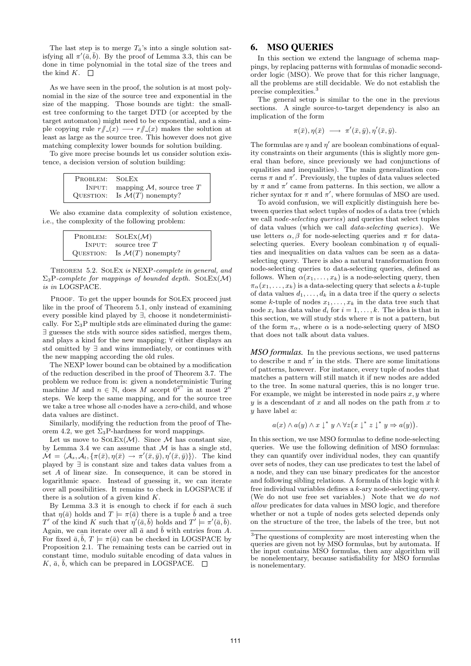The last step is to merge  $T_{\bar{a}}$ 's into a single solution satisfying all  $\pi'(\bar{a}, \bar{b})$ . By the proof of Lemma 3.3, this can be done in time polynomial in the total size of the trees and the kind  $K$ .  $\square$ 

As we have seen in the proof, the solution is at most polynomial in the size of the source tree and exponential in the size of the mapping. Those bounds are tight: the smallest tree conforming to the target DTD (or accepted by the target automaton) might need to be exponential, and a simple copying rule  $r/\!\!/_{\!\sim}(x) \longrightarrow r/\!\!/_{\!\sim}(x)$  makes the solution at least as large as the source tree. This however does not give matching complexity lower bounds for solution building.

To give more precise bounds let us consider solution existence, a decision version of solution building:

| PROBLEM: SOLEX |                                    |
|----------------|------------------------------------|
|                | INPUT: mapping $M$ , source tree T |
| QUESTION:      | Is $\mathcal{M}(T)$ nonempty?      |

We also examine data complexity of solution existence, i.e., the complexity of the following problem:

| PROBLEM:  | $SOLEX(\mathcal{M})$          |
|-----------|-------------------------------|
| INPUT:    | source tree $T$               |
| QUESTION: | Is $\mathcal{M}(T)$ nonempty? |

Theorem 5.2. SolEx is NEXP-complete in general, and  $\Sigma_3$ P-complete for mappings of bounded depth. SOLEX(M) is in LOGSPACE.

PROOF. To get the upper bounds for SOLEX proceed just like in the proof of Theorem 5.1, only instead of examining every possible kind played by ∃, choose it nondeterministically. For  $\Sigma_3$ P multiple stds are eliminated during the game: ∃ guesses the stds with source sides satisfied, merges them, and plays a kind for the new mapping; ∀ either displays an std omitted by ∃ and wins immediately, or continues with the new mapping according the old rules.

The NEXP lower bound can be obtained by a modification of the reduction described in the proof of Theorem 3.7. The problem we reduce from is: given a nondeterministic Turing machine M and  $n \in \mathbb{N}$ , does M accept  $0^{2^n}$  in at most  $2^n$ steps. We keep the same mapping, and for the source tree we take a tree whose all c-nodes have a *zero*-child, and whose data values are distinct.

Similarly, modifying the reduction from the proof of Theorem 4.2, we get  $\Sigma_3$ P-hardness for word mappings.

Let us move to  $SOLVEX(\mathcal{M})$ . Since  $\mathcal M$  has constant size, by Lemma 3.4 we can assume that  $\mathcal M$  is has a single std,  $\mathcal{M} = \langle \mathcal{A}_s, \mathcal{A}_t, \{\pi(\bar{x}), \eta(\bar{x}) \to \pi'(\bar{x}, \bar{y}), \eta'(\bar{x}, \bar{y})\}\rangle$ . The kind played by ∃ is constant size and takes data values from a set A of linear size. In consequence, it can be stored in logarithmic space. Instead of guessing it, we can iterate over all possibilities. It remains to check in LOGSPACE if there is a solution of a given kind  $K$ .

By Lemma 3.3 it is enough to check if for each  $\bar{a}$  such that  $\eta(\bar{a})$  holds and  $T \models \pi(\bar{a})$  there is a tuple  $\bar{b}$  and a tree T' of the kind K such that  $\eta'(\bar{a}, \bar{b})$  holds and  $T' \models \pi'(\bar{a}, \bar{b})$ . Again, we can iterate over all  $\bar{a}$  and  $\bar{b}$  with entries from A. For fixed  $\bar{a}, \bar{b}, T \models \pi(\bar{a})$  can be checked in LOGSPACE by Proposition 2.1. The remaining tests can be carried out in constant time, modulo suitable encoding of data values in  $K, \bar{a}, \bar{b}$ , which can be prepared in LOGSPACE.

## 6. MSO QUERIES

In this section we extend the language of schema mappings, by replacing patterns with formulas of monadic secondorder logic (MSO). We prove that for this richer language, all the problems are still decidable. We do not establish the precise complexities.<sup>3</sup>

The general setup is similar to the one in the previous sections. A single source-to-target dependency is also an implication of the form

$$
\pi(\bar{x}), \eta(\bar{x}) \longrightarrow \pi'(\bar{x}, \bar{y}), \eta'(\bar{x}, \bar{y}).
$$

The formulas are  $\eta$  and  $\eta'$  are boolean combinations of equality constraints on their arguments (this is slightly more general than before, since previously we had conjunctions of equalities and inequalities). The main generalization concerns  $\pi$  and  $\pi'$ . Previously, the tuples of data values selected by  $\pi$  and  $\pi'$  came from patterns. In this section, we allow a richer syntax for  $\pi$  and  $\pi'$ , where formulas of MSO are used.

To avoid confusion, we will explicitly distinguish here between queries that select tuples of nodes of a data tree (which we call node-selecting queries) and queries that select tuples of data values (which we call data-selecting queries). We use letters  $\alpha$ ,  $\beta$  for node-selecting queries and  $\pi$  for dataselecting queries. Every boolean combination  $\eta$  of equalities and inequalities on data values can be seen as a dataselecting query. There is also a natural transformation from node-selecting queries to data-selecting queries, defined as follows. When  $\alpha(x_1, \ldots, x_k)$  is a node-selecting query, then  $\pi_{\alpha}(x_1,\ldots,x_k)$  is a data-selecting query that selects a k-tuple of data values  $d_1, \ldots, d_k$  in a data tree if the query  $\alpha$  selects some k-tuple of nodes  $x_1, \ldots, x_k$  in the data tree such that node  $x_i$  has data value  $d_i$  for  $i = 1, \ldots, k$ . The idea is that in this section, we will study stds where  $\pi$  is not a pattern, but of the form  $\pi_{\alpha}$ , where  $\alpha$  is a node-selecting query of MSO that does not talk about data values.

*MSO formulas.* In the previous sections, we used patterns to describe  $\pi$  and  $\pi'$  in the stds. There are some limitations of patterns, however. For instance, every tuple of nodes that matches a pattern will still match it if new nodes are added to the tree. In some natural queries, this is no longer true. For example, we might be interested in node pairs  $x, y$  where  $y$  is a descendant of  $x$  and all nodes on the path from  $x$  to y have label a:

$$
a(x) \wedge a(y) \wedge x \downarrow^* y \wedge \forall z (x \downarrow^* z \downarrow^* y \Rightarrow a(y)).
$$

In this section, we use MSO formulas to define node-selecting queries. We use the following definition of MSO formulas: they can quantify over individual nodes, they can quantify over sets of nodes, they can use predicates to test the label of a node, and they can use binary predicates for the ancestor and following sibling relations. A formula of this logic with  $k$ free individual variables defines a k-ary node-selecting query. (We do not use free set variables.) Note that we do not allow predicates for data values in MSO logic, and therefore whether or not a tuple of nodes gets selected depends only on the structure of the tree, the labels of the tree, but not

<sup>3</sup>The questions of complexity are most interesting when the queries are given not by MSO formulas, but by automata. If the input contains MSO formulas, then any algorithm will be nonelementary, because satisfiability for MSO formulas is nonelementary.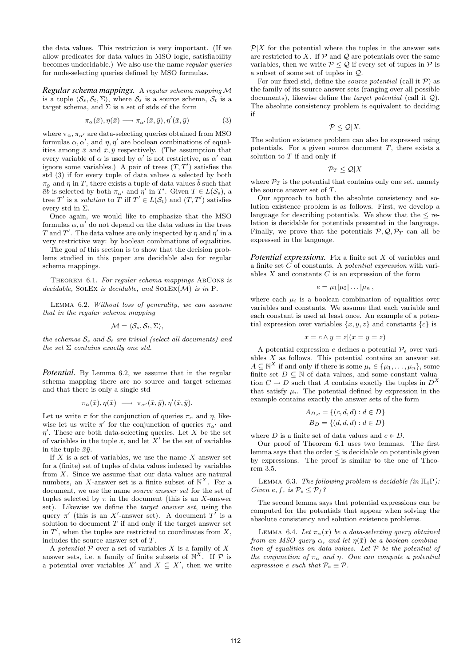the data values. This restriction is very important. (If we allow predicates for data values in MSO logic, satisfiability becomes undecidable.) We also use the name regular queries for node-selecting queries defined by MSO formulas.

*Regular schema mappings.* A regular schema mapping M is a tuple  $\langle S_s, S_t, \Sigma \rangle$ , where  $S_s$  is a source schema,  $S_t$  is a target schema, and  $\Sigma$  is a set of stds of the form

$$
\pi_{\alpha}(\bar{x}), \eta(\bar{x}) \longrightarrow \pi_{\alpha'}(\bar{x}, \bar{y}), \eta'(\bar{x}, \bar{y})
$$
\n(3)

where  $\pi_{\alpha}, \pi_{\alpha'}$  are data-selecting queries obtained from MSO formulas  $\alpha, \alpha'$ , and  $\eta, \eta'$  are boolean combinations of equalities among  $\bar{x}$  and  $\bar{x}, \bar{y}$  respectively. (The assumption that every variable of  $\alpha$  is used by  $\alpha'$  is not restrictive, as  $\alpha'$  can ignore some variables.) A pair of trees  $(T, T')$  satisfies the std (3) if for every tuple of data values  $\bar{a}$  selected by both  $\pi_{\alpha}$  and  $\eta$  in T, there exists a tuple of data values  $\bar{b}$  such that  $\bar{a}\bar{b}$  is selected by both  $\pi_{\alpha'}$  and  $\eta'$  in T'. Given  $T \in L(\mathcal{S}_s)$ , a tree T' is a solution to T iff  $T' \in L(\mathcal{S}_t)$  and  $(T, T')$  satisfies every std in  $\Sigma$ .

Once again, we would like to emphasize that the MSO formulas  $\alpha, \alpha'$  do not depend on the data values in the trees T and T'. The data values are only inspected by  $\eta$  and  $\eta'$  in a very restrictive way: by boolean combinations of equalities.

The goal of this section is to show that the decision problems studied in this paper are decidable also for regular schema mappings.

THEOREM 6.1. For regular schema mappings ABCONS is decidable, SOLEX is decidable, and  $SOLVEX(\mathcal{M})$  is in P.

Lemma 6.2. Without loss of generality, we can assume that in the regular schema mapping

$$
\mathcal{M}=\langle \mathcal{S}_s, \mathcal{S}_t, \Sigma \rangle,
$$

the schemas  $S_s$  and  $S_t$  are trivial (select all documents) and the set  $\Sigma$  contains exactly one std.

*Potential.* By Lemma 6.2, we assume that in the regular schema mapping there are no source and target schemas and that there is only a single std

$$
\pi_{\alpha}(\bar{x}), \eta(\bar{x}) \; \longrightarrow \; \pi_{\alpha'}(\bar{x}, \bar{y}), \eta'(\bar{x}, \bar{y}).
$$

Let us write  $\pi$  for the conjunction of queries  $\pi_{\alpha}$  and  $\eta$ , likewise let us write  $\pi'$  for the conjunction of queries  $\pi_{\alpha'}$  and  $\eta'$ . These are both data-selecting queries. Let X be the set of variables in the tuple  $\bar{x}$ , and let X' be the set of variables in the tuple  $\bar{x}\bar{y}$ .

If  $X$  is a set of variables, we use the name  $X$ -answer set for a (finite) set of tuples of data values indexed by variables from X. Since we assume that our data values are natural numbers, an X-answer set is a finite subset of  $\mathbb{N}^X$ . For a document, we use the name *source answer set* for the set of tuples selected by  $\pi$  in the document (this is an X-answer set). Likewise we define the target answer set, using the query  $\pi'$  (this is an X'-answer set). A document T' is a solution to document  $T$  if and only if the target answer set in  $T'$ , when the tuples are restricted to coordinates from  $X$ , includes the source answer set of T.

A potential  $P$  over a set of variables X is a family of Xanswer sets, i.e. a family of finite subsets of  $\mathbb{N}^X$ . If  $\mathcal P$  is a potential over variables  $X'$  and  $X \subseteq X'$ , then we write

 $\mathcal{P}|X$  for the potential where the tuples in the answer sets are restricted to X. If  $P$  and  $Q$  are potentials over the same variables, then we write  $P \le Q$  if every set of tuples in  $P$  is a subset of some set of tuples in Q.

For our fixed std, define the *source potential* (call it  $P$ ) as the family of its source answer sets (ranging over all possible documents), likewise define the *target potential* (call it  $\mathcal{Q}$ ). The absolute consistency problem is equivalent to deciding if

$$
\mathcal{P}\leq \mathcal{Q}|X.
$$

The solution existence problem can also be expressed using potentials. For a given source document  $T$ , there exists a solution to  $T$  if and only if

$$
\mathcal{P}_T \leq \mathcal{Q}|X
$$

where  $\mathcal{P}_T$  is the potential that contains only one set, namely the source answer set of T.

Our approach to both the absolute consistency and solution existence problem is as follows. First, we develop a language for describing potentials. We show that the  $\leq$  relation is decidable for potentials presented in the language. Finally, we prove that the potentials  $P, Q, \mathcal{P}_T$  can all be expressed in the language.

*Potential expressions.* Fix a finite set X of variables and a finite set C of constants. A potential expression with variables  $X$  and constants  $C$  is an expression of the form

$$
e=\mu_1|\mu_2|\ldots|\mu_n,
$$

where each  $\mu_i$  is a boolean combination of equalities over variables and constants. We assume that each variable and each constant is used at least once. An example of a potential expression over variables  $\{x, y, z\}$  and constants  $\{c\}$  is

$$
x = c \land y = z | (x = y = z)
$$

A potential expression  $e$  defines a potential  $\mathcal{P}_e$  over variables  $X$  as follows. This potential contains an answer set  $A \subseteq \mathbb{N}^X$  if and only if there is some  $\mu_i \in {\{\mu_1, \ldots, \mu_n\}}$ , some finite set  $D \subseteq \mathbb{N}$  of data values, and some constant valuation  $C \to D$  such that A contains exactly the tuples in  $D^X$ that satisfy  $\mu_i$ . The potential defined by expression in the example contains exactly the answer sets of the form

$$
A_{D,c} = \{(c, d, d) : d \in D\}
$$
  

$$
B_D = \{(d, d, d) : d \in D\}
$$

where D is a finite set of data values and  $c \in D$ .

Our proof of Theorem 6.1 uses two lemmas. The first lemma says that the order  $\leq$  is decidable on potentials given by expressions. The proof is similar to the one of Theorem 3.5.

LEMMA 6.3. The following problem is decidable (in  $\Pi_4$ P): Given e, f, is  $\mathcal{P}_e \leq \mathcal{P}_f$ ?

The second lemma says that potential expressions can be computed for the potentials that appear when solving the absolute consistency and solution existence problems.

LEMMA 6.4. Let  $\pi_{\alpha}(\bar{x})$  be a data-selecting query obtained from an MSO query  $\alpha$ , and let  $\eta(\bar{x})$  be a boolean combination of equalities on data values. Let  $P$  be the potential of the conjunction of  $\pi_{\alpha}$  and  $\eta$ . One can compute a potential expression e such that  $\mathcal{P}_e \equiv \mathcal{P}$ .